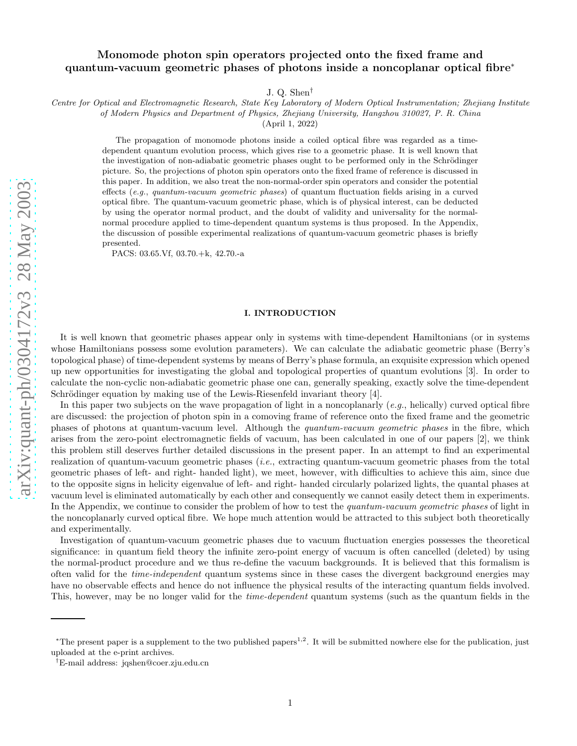# Monomode photon spin operators projected onto the fixed frame and quantum-vacuum geometric phases of photons inside a noncoplanar optical fibre<sup>\*</sup>

J. Q. Shen †

Centre for Optical and Electromagnetic Research, State Key Laboratory of Modern Optical Instrumentation; Zhejiang Institute

of Modern Physics and Department of Physics, Zhejiang University, Hangzhou 310027, P. R. China

(April 1, 2022)

The propagation of monomode photons inside a coiled optical fibre was regarded as a timedependent quantum evolution process, which gives rise to a geometric phase. It is well known that the investigation of non-adiabatic geometric phases ought to be performed only in the Schrödinger picture. So, the projections of photon spin operators onto the fixed frame of reference is discussed in this paper. In addition, we also treat the non-normal-order spin operators and consider the potential effects (e.g., quantum-vacuum geometric phases) of quantum fluctuation fields arising in a curved optical fibre. The quantum-vacuum geometric phase, which is of physical interest, can be deducted by using the operator normal product, and the doubt of validity and universality for the normalnormal procedure applied to time-dependent quantum systems is thus proposed. In the Appendix, the discussion of possible experimental realizations of quantum-vacuum geometric phases is briefly presented.

PACS: 03.65.Vf, 03.70.+k, 42.70.-a

#### I. INTRODUCTION

It is well known that geometric phases appear only in systems with time-dependent Hamiltonians (or in systems whose Hamiltonians possess some evolution parameters). We can calculate the adiabatic geometric phase (Berry's topological phase) of time-dependent systems by means of Berry's phase formula, an exquisite expression which opened up new opportunities for investigating the global and topological properties of quantum evolutions [3]. In order to calculate the non-cyclic non-adiabatic geometric phase one can, generally speaking, exactly solve the time-dependent Schrödinger equation by making use of the Lewis-Riesenfeld invariant theory  $[4]$ .

In this paper two subjects on the wave propagation of light in a noncoplanarly (e.g., helically) curved optical fibre are discussed: the projection of photon spin in a comoving frame of reference onto the fixed frame and the geometric phases of photons at quantum-vacuum level. Although the quantum-vacuum geometric phases in the fibre, which arises from the zero-point electromagnetic fields of vacuum, has been calculated in one of our papers [2], we think this problem still deserves further detailed discussions in the present paper. In an attempt to find an experimental realization of quantum-vacuum geometric phases (i.e., extracting quantum-vacuum geometric phases from the total geometric phases of left- and right- handed light), we meet, however, with difficulties to achieve this aim, since due to the opposite signs in helicity eigenvalue of left- and right- handed circularly polarized lights, the quantal phases at vacuum level is eliminated automatically by each other and consequently we cannot easily detect them in experiments. In the Appendix, we continue to consider the problem of how to test the quantum-vacuum geometric phases of light in the noncoplanarly curved optical fibre. We hope much attention would be attracted to this subject both theoretically and experimentally.

Investigation of quantum-vacuum geometric phases due to vacuum fluctuation energies possesses the theoretical significance: in quantum field theory the infinite zero-point energy of vacuum is often cancelled (deleted) by using the normal-product procedure and we thus re-define the vacuum backgrounds. It is believed that this formalism is often valid for the time-independent quantum systems since in these cases the divergent background energies may have no observable effects and hence do not influence the physical results of the interacting quantum fields involved. This, however, may be no longer valid for the *time-dependent* quantum systems (such as the quantum fields in the

<sup>\*</sup>The present paper is a supplement to the two published papers<sup>1,2</sup>. It will be submitted nowhere else for the publication, just uploaded at the e-print archives.

<sup>†</sup>E-mail address: jqshen@coer.zju.edu.cn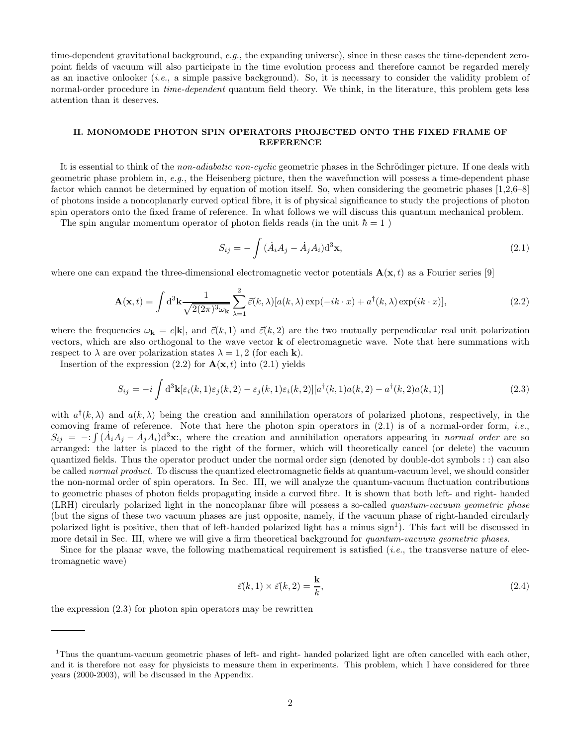time-dependent gravitational background, e.g., the expanding universe), since in these cases the time-dependent zeropoint fields of vacuum will also participate in the time evolution process and therefore cannot be regarded merely as an inactive onlooker (i.e., a simple passive background). So, it is necessary to consider the validity problem of normal-order procedure in *time-dependent* quantum field theory. We think, in the literature, this problem gets less attention than it deserves.

### II. MONOMODE PHOTON SPIN OPERATORS PROJECTED ONTO THE FIXED FRAME OF REFERENCE

It is essential to think of the non-adiabatic non-cyclic geometric phases in the Schrödinger picture. If one deals with geometric phase problem in, e.g., the Heisenberg picture, then the wavefunction will possess a time-dependent phase factor which cannot be determined by equation of motion itself. So, when considering the geometric phases [1,2,6–8] of photons inside a noncoplanarly curved optical fibre, it is of physical significance to study the projections of photon spin operators onto the fixed frame of reference. In what follows we will discuss this quantum mechanical problem.

The spin angular momentum operator of photon fields reads (in the unit  $\hbar = 1$ )

$$
S_{ij} = -\int (\dot{A}_i A_j - \dot{A}_j A_i) d^3 \mathbf{x},\tag{2.1}
$$

where one can expand the three-dimensional electromagnetic vector potentials  $\mathbf{A}(\mathbf{x},t)$  as a Fourier series [9]

$$
\mathbf{A}(\mathbf{x},t) = \int d^3 \mathbf{k} \frac{1}{\sqrt{2(2\pi)^3 \omega_{\mathbf{k}}}} \sum_{\lambda=1}^2 \vec{\varepsilon}(k,\lambda) [a(k,\lambda) \exp(-ik \cdot x) + a^\dagger(k,\lambda) \exp(ik \cdot x)],\tag{2.2}
$$

where the frequencies  $\omega_{\mathbf{k}} = c|\mathbf{k}|$ , and  $\vec{\varepsilon}(k, 1)$  and  $\vec{\varepsilon}(k, 2)$  are the two mutually perpendicular real unit polarization vectors, which are also orthogonal to the wave vector  $\bf{k}$  of electromagnetic wave. Note that here summations with respect to  $\lambda$  are over polarization states  $\lambda = 1, 2$  (for each **k**).

Insertion of the expression  $(2.2)$  for  $\mathbf{A}(\mathbf{x},t)$  into  $(2.1)$  yields

$$
S_{ij} = -i \int d^3 \mathbf{k} [\varepsilon_i(k, 1)\varepsilon_j(k, 2) - \varepsilon_j(k, 1)\varepsilon_i(k, 2)] [a^\dagger(k, 1)a(k, 2) - a^\dagger(k, 2)a(k, 1)] \tag{2.3}
$$

with  $a^{\dagger}(k,\lambda)$  and  $a(k,\lambda)$  being the creation and annihilation operators of polarized photons, respectively, in the comoving frame of reference. Note that here the photon spin operators in  $(2.1)$  is of a normal-order form, *i.e.*,  $S_{ij} = -: \int (A_i A_j - A_j A_i) d^3 \mathbf{x}$ ; where the creation and annihilation operators appearing in normal order are so arranged: the latter is placed to the right of the former, which will theoretically cancel (or delete) the vacuum quantized fields. Thus the operator product under the normal order sign (denoted by double-dot symbols : :) can also be called normal product. To discuss the quantized electromagnetic fields at quantum-vacuum level, we should consider the non-normal order of spin operators. In Sec. III, we will analyze the quantum-vacuum fluctuation contributions to geometric phases of photon fields propagating inside a curved fibre. It is shown that both left- and right- handed (LRH) circularly polarized light in the noncoplanar fibre will possess a so-called quantum-vacuum geometric phase (but the signs of these two vacuum phases are just opposite, namely, if the vacuum phase of right-handed circularly polarized light is positive, then that of left-handed polarized light has a minus  $\text{sign}^1$ ). This fact will be discussed in more detail in Sec. III, where we will give a firm theoretical background for quantum-vacuum geometric phases.

Since for the planar wave, the following mathematical requirement is satisfied (i.e., the transverse nature of electromagnetic wave)

$$
\vec{\varepsilon}(k,1) \times \vec{\varepsilon}(k,2) = \frac{\mathbf{k}}{k},\tag{2.4}
$$

the expression (2.3) for photon spin operators may be rewritten

<sup>&</sup>lt;sup>1</sup>Thus the quantum-vacuum geometric phases of left- and right- handed polarized light are often cancelled with each other, and it is therefore not easy for physicists to measure them in experiments. This problem, which I have considered for three years (2000-2003), will be discussed in the Appendix.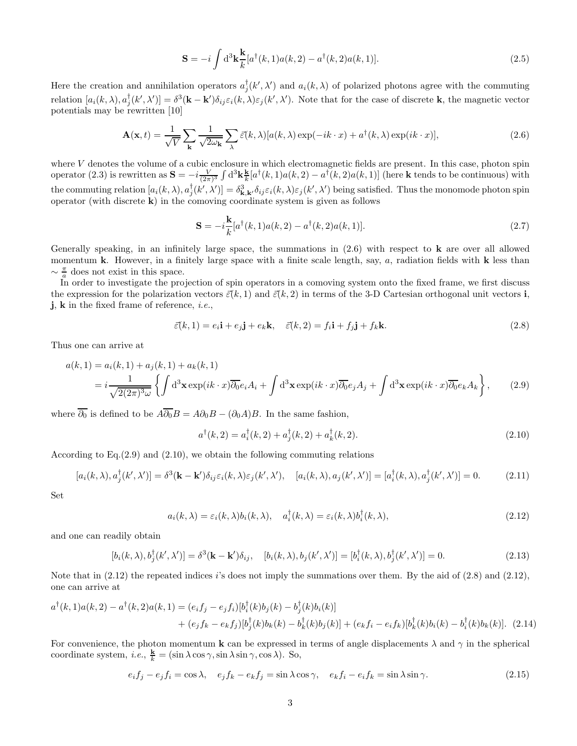$$
\mathbf{S} = -i \int d^3 \mathbf{k} \frac{\mathbf{k}}{k} [a^{\dagger}(k,1) a(k,2) - a^{\dagger}(k,2) a(k,1)]. \tag{2.5}
$$

Here the creation and annihilation operators  $a_j^{\dagger}(k',\lambda')$  and  $a_i(k,\lambda)$  of polarized photons agree with the commuting relation  $[a_i(k,\lambda),a_j^{\dagger}(k',\lambda')] = \delta^3(\mathbf{k} - \mathbf{k}')\delta_{ij}\varepsilon_i(k,\lambda)\varepsilon_j(k',\lambda')$ . Note that for the case of discrete **k**, the magnetic vector potentials may be rewritten [10]

$$
\mathbf{A}(\mathbf{x},t) = \frac{1}{\sqrt{V}} \sum_{\mathbf{k}} \frac{1}{\sqrt{2\omega_{\mathbf{k}}}} \sum_{\lambda} \vec{\varepsilon}(k,\lambda) [a(k,\lambda)\exp(-ik \cdot x) + a^{\dagger}(k,\lambda)\exp(ik \cdot x)],\tag{2.6}
$$

where  $V$  denotes the volume of a cubic enclosure in which electromagnetic fields are present. In this case, photon spin operator (2.3) is rewritten as  $\mathbf{S} = -i \frac{V}{(2\pi)^3} \int d^3k \frac{\mathbf{k}}{k}$  $\frac{\mathbf{k}}{k}[a^{\dagger}(k,1)a(k,2)-a^{\dagger}(k,2)a(k,1)]$  (here **k** tends to be continuous) with the commuting relation  $[a_i(k,\lambda),a_j^{\dagger}(k',\lambda')] = \delta_{\mathbf{k},\mathbf{k'}}^3 \delta_{ij} \varepsilon_i(k,\lambda) \varepsilon_j(k',\lambda')$  being satisfied. Thus the monomode photon spin operator (with discrete k) in the comoving coordinate system is given as follows

$$
\mathbf{S} = -i\frac{\mathbf{k}}{k} [a^{\dagger}(k,1)a(k,2) - a^{\dagger}(k,2)a(k,1)].
$$
\n(2.7)

Generally speaking, in an infinitely large space, the summations in  $(2.6)$  with respect to **k** are over all allowed momentum k. However, in a finitely large space with a finite scale length, say,  $a$ , radiation fields with k less than  $\sim \frac{\pi}{a}$  does not exist in this space.

 $\frac{a}{a}$  does not exist in this space.<br>In order to investigate the projection of spin operators in a comoving system onto the fixed frame, we first discuss the expression for the polarization vectors  $\vec{\varepsilon}(k, 1)$  and  $\vec{\varepsilon}(k, 2)$  in terms of the 3-D Cartesian orthogonal unit vectors i, j, k in the fixed frame of reference, i.e.,

$$
\vec{\varepsilon}(k,1) = e_i \mathbf{i} + e_j \mathbf{j} + e_k \mathbf{k}, \quad \vec{\varepsilon}(k,2) = f_i \mathbf{i} + f_j \mathbf{j} + f_k \mathbf{k}.
$$
 (2.8)

Thus one can arrive at

$$
a(k,1) = a_i(k,1) + a_j(k,1) + a_k(k,1)
$$
  
= 
$$
i \frac{1}{\sqrt{2(2\pi)^3 \omega}} \left\{ \int d^3 \mathbf{x} \exp(ik \cdot x) \overline{\partial_0} e_i A_i + \int d^3 \mathbf{x} \exp(ik \cdot x) \overline{\partial_0} e_j A_j + \int d^3 \mathbf{x} \exp(ik \cdot x) \overline{\partial_0} e_k A_k \right\},
$$
 (2.9)

where  $\overline{\partial_0}$  is defined to be  $A\overline{\partial_0}B = A\partial_0B - (\partial_0A)B$ . In the same fashion,

$$
a^{\dagger}(k,2) = a_i^{\dagger}(k,2) + a_j^{\dagger}(k,2) + a_k^{\dagger}(k,2). \tag{2.10}
$$

According to Eq.(2.9) and (2.10), we obtain the following commuting relations

$$
[a_i(k,\lambda), a_j^{\dagger}(k',\lambda')] = \delta^3(\mathbf{k} - \mathbf{k}')\delta_{ij}\varepsilon_i(k,\lambda)\varepsilon_j(k',\lambda'), \quad [a_i(k,\lambda), a_j(k',\lambda')] = [a_i^{\dagger}(k,\lambda), a_j^{\dagger}(k',\lambda')] = 0. \tag{2.11}
$$

Set

$$
a_i(k,\lambda) = \varepsilon_i(k,\lambda)b_i(k,\lambda), \quad a_i^{\dagger}(k,\lambda) = \varepsilon_i(k,\lambda)b_i^{\dagger}(k,\lambda), \tag{2.12}
$$

and one can readily obtain

$$
[b_i(k,\lambda), b_j^{\dagger}(k',\lambda')] = \delta^3(\mathbf{k} - \mathbf{k}')\delta_{ij}, \quad [b_i(k,\lambda), b_j(k',\lambda')] = [b_i^{\dagger}(k,\lambda), b_j^{\dagger}(k',\lambda')] = 0.
$$
\n(2.13)

Note that in  $(2.12)$  the repeated indices *i*'s does not imply the summations over them. By the aid of  $(2.8)$  and  $(2.12)$ , one can arrive at

$$
a^{\dagger}(k,1)a(k,2) - a^{\dagger}(k,2)a(k,1) = (e_i f_j - e_j f_i)[b_i^{\dagger}(k)b_j(k) - b_j^{\dagger}(k)b_i(k)] + (e_j f_k - e_k f_j)[b_j^{\dagger}(k)b_k(k) - b_k^{\dagger}(k)b_j(k)] + (e_k f_i - e_i f_k)[b_k^{\dagger}(k)b_i(k) - b_i^{\dagger}(k)b_k(k)].
$$
 (2.14)

For convenience, the photon momentum **k** can be expressed in terms of angle displacements  $\lambda$  and  $\gamma$  in the spherical coordinate system, *i.e.*,  $\frac{\mathbf{k}}{k} = (\sin \lambda \cos \gamma, \sin \lambda \sin \gamma, \cos \lambda)$ . So,

$$
e_i f_j - e_j f_i = \cos \lambda, \quad e_j f_k - e_k f_j = \sin \lambda \cos \gamma, \quad e_k f_i - e_i f_k = \sin \lambda \sin \gamma. \tag{2.15}
$$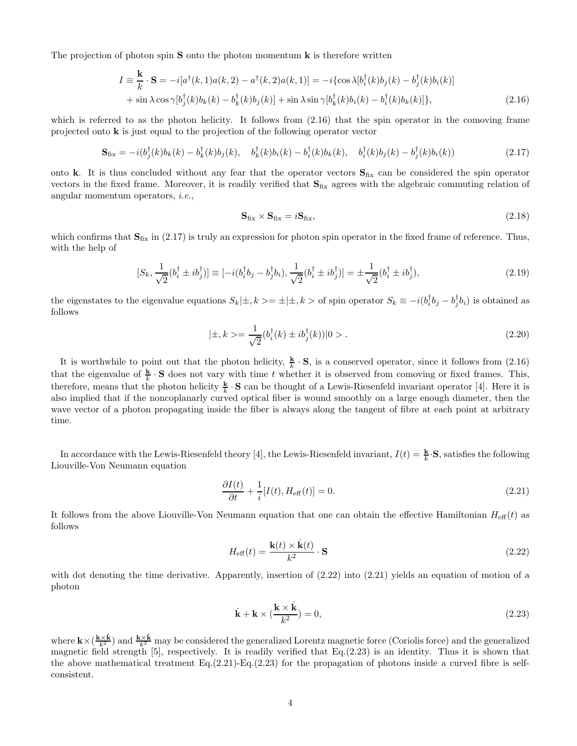The projection of photon spin  $S$  onto the photon momentum  $k$  is therefore written

$$
I = \frac{\mathbf{k}}{k} \cdot \mathbf{S} = -i[a^{\dagger}(k,1)a(k,2) - a^{\dagger}(k,2)a(k,1)] = -i\{\cos\lambda[b_i^{\dagger}(k)b_j(k) - b_j^{\dagger}(k)b_i(k)]
$$
  
+  $\sin\lambda\cos\gamma[b_j^{\dagger}(k)b_k(k) - b_k^{\dagger}(k)b_j(k)] + \sin\lambda\sin\gamma[b_k^{\dagger}(k)b_i(k) - b_i^{\dagger}(k)b_k(k)]\},$  (2.16)

which is referred to as the photon helicity. It follows from  $(2.16)$  that the spin operator in the comoving frame projected onto k is just equal to the projection of the following operator vector

$$
\mathbf{S}_{\text{fix}} = -i(b_j^{\dagger}(k)b_k(k) - b_k^{\dagger}(k)b_j(k), \quad b_k^{\dagger}(k)b_i(k) - b_i^{\dagger}(k)b_k(k), \quad b_i^{\dagger}(k)b_j(k) - b_j^{\dagger}(k)b_i(k)) \tag{2.17}
$$

onto k. It is thus concluded without any fear that the operator vectors  $S_{fix}$  can be considered the spin operator vectors in the fixed frame. Moreover, it is readily verified that  $S_{fix}$  agrees with the algebraic commuting relation of angular momentum operators, i.e.,

$$
\mathbf{S}_{\text{fix}} \times \mathbf{S}_{\text{fix}} = i\mathbf{S}_{\text{fix}},\tag{2.18}
$$

which confirms that  $S_{fix}$  in (2.17) is truly an expression for photon spin operator in the fixed frame of reference. Thus, with the help of

$$
[S_k, \frac{1}{\sqrt{2}}(b_i^{\dagger} \pm i b_j^{\dagger})] \equiv [-i(b_i^{\dagger} b_j - b_j^{\dagger} b_i), \frac{1}{\sqrt{2}}(b_i^{\dagger} \pm i b_j^{\dagger})] = \pm \frac{1}{\sqrt{2}}(b_i^{\dagger} \pm i b_j^{\dagger}), \tag{2.19}
$$

the eigenstates to the eigenvalue equations  $S_k|\pm, k\rangle = \pm |\pm, k\rangle$  of spin operator  $S_k \equiv -i(b_i^{\dagger}b_j - b_j^{\dagger}b_i)$  is obtained as follows

$$
|\pm, k\rangle = \frac{1}{\sqrt{2}} (b_i^{\dagger}(k) \pm i b_j^{\dagger}(k)) |0\rangle . \tag{2.20}
$$

It is worthwhile to point out that the photon helicity,  $\frac{\mathbf{k}}{k} \cdot \mathbf{S}$ , is a conserved operator, since it follows from (2.16) that the eigenvalue of  $\frac{k}{k} \cdot S$  does not vary with time t whether it is observed from comoving or fixed frames. This, therefore, means that the photon helicity  $\frac{\mathbf{k}}{k} \cdot \mathbf{S}$  can be thought of a Lewis-Riesenfeld invariant operator [4]. Here it is also implied that if the noncoplanarly curved optical fiber is wound smoothly on a large enough diameter, then the wave vector of a photon propagating inside the fiber is always along the tangent of fibre at each point at arbitrary time.

In accordance with the Lewis-Riesenfeld theory [4], the Lewis-Riesenfeld invariant,  $I(t) = \frac{\mathbf{k}}{k} \cdot \mathbf{S}$ , satisfies the following Liouville-Von Neumann equation

$$
\frac{\partial I(t)}{\partial t} + \frac{1}{i} [I(t), H_{\text{eff}}(t)] = 0.
$$
\n(2.21)

It follows from the above Liouville-Von Neumann equation that one can obtain the effective Hamiltonian  $H_{\text{eff}}(t)$  as follows

$$
H_{\text{eff}}(t) = \frac{\mathbf{k}(t) \times \dot{\mathbf{k}}(t)}{k^2} \cdot \mathbf{S}
$$
 (2.22)

with dot denoting the time derivative. Apparently, insertion of  $(2.22)$  into  $(2.21)$  yields an equation of motion of a photon

$$
\dot{\mathbf{k}} + \mathbf{k} \times (\frac{\mathbf{k} \times \dot{\mathbf{k}}}{k^2}) = 0,
$$
\n(2.23)

where  $\mathbf{k}\times(\frac{\mathbf{k}\times\mathbf{k}}{k^2})$  and  $\frac{\mathbf{k}\times\mathbf{k}}{k^2}$  may be considered the generalized Lorentz magnetic force (Coriolis force) and the generalized magnetic field strength [5], respectively. It is readily verified that Eq.(2.23) is an identity. Thus it is shown that the above mathematical treatment  $Eq.(2.21)$ -Eq.(2.23) for the propagation of photons inside a curved fibre is selfconsistent.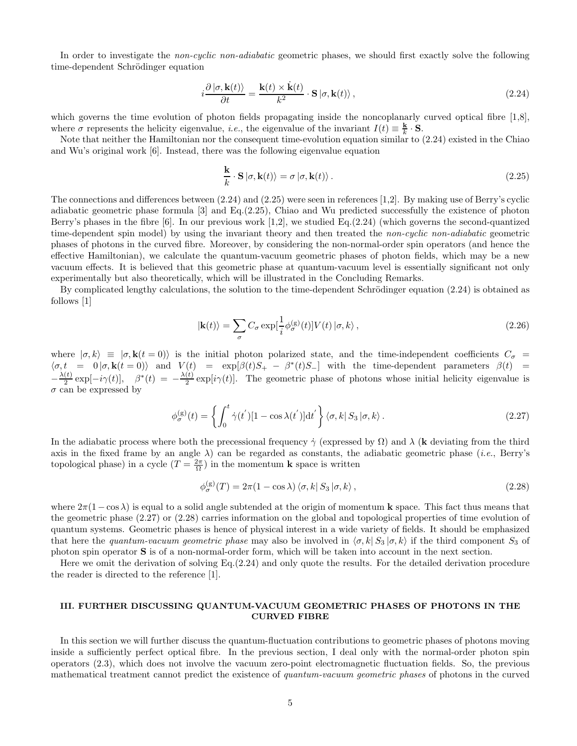In order to investigate the *non-cyclic non-adiabatic* geometric phases, we should first exactly solve the following time-dependent Schrödinger equation

$$
i\frac{\partial |\sigma, \mathbf{k}(t)\rangle}{\partial t} = \frac{\mathbf{k}(t) \times \dot{\mathbf{k}}(t)}{k^2} \cdot \mathbf{S} |\sigma, \mathbf{k}(t)\rangle, \qquad (2.24)
$$

which governs the time evolution of photon fields propagating inside the noncoplanarly curved optical fibre [1,8], where  $\sigma$  represents the helicity eigenvalue, *i.e.*, the eigenvalue of the invariant  $I(t) \equiv \frac{k}{k}$  $\frac{\mathbf{k}}{k} \cdot \mathbf{S}$ .

Note that neither the Hamiltonian nor the consequent time-evolution equation similar to (2.24) existed in the Chiao and Wu's original work [6]. Instead, there was the following eigenvalue equation

$$
\frac{\mathbf{k}}{k} \cdot \mathbf{S} \left| \sigma, \mathbf{k}(t) \right\rangle = \sigma \left| \sigma, \mathbf{k}(t) \right\rangle. \tag{2.25}
$$

The connections and differences between (2.24) and (2.25) were seen in references [1,2]. By making use of Berry's cyclic adiabatic geometric phase formula [3] and Eq.(2.25), Chiao and Wu predicted successfully the existence of photon Berry's phases in the fibre  $[6]$ . In our previous work  $[1,2]$ , we studied Eq. $(2.24)$  (which governs the second-quantized time-dependent spin model) by using the invariant theory and then treated the *non-cyclic non-adiabatic* geometric phases of photons in the curved fibre. Moreover, by considering the non-normal-order spin operators (and hence the effective Hamiltonian), we calculate the quantum-vacuum geometric phases of photon fields, which may be a new vacuum effects. It is believed that this geometric phase at quantum-vacuum level is essentially significant not only experimentally but also theoretically, which will be illustrated in the Concluding Remarks.

By complicated lengthy calculations, the solution to the time-dependent Schrödinger equation  $(2.24)$  is obtained as follows [1]

$$
|\mathbf{k}(t)\rangle = \sum_{\sigma} C_{\sigma} \exp[\frac{1}{i} \phi_{\sigma}^{(\text{g})}(t)] V(t) | \sigma, k \rangle , \qquad (2.26)
$$

where  $|\sigma, k\rangle \equiv |\sigma, \mathbf{k}(t=0)\rangle$  is the initial photon polarized state, and the time-independent coefficients  $C_{\sigma}$  $\langle \sigma, t \rangle = 0 | \sigma, \mathbf{k}(t=0) \rangle$  and  $V(t) = \exp[\beta(t)S_+ - \beta^*(t)S_-]$  with the time-dependent parameters  $\beta(t) =$  $-\frac{\lambda(t)}{2}$  $\frac{f(t)}{2} \exp[-i\gamma(t)], \quad \beta^*(t) = -\frac{\lambda(t)}{2}$  $\frac{v(t)}{2}$  exp[i $\gamma(t)$ ]. The geometric phase of photons whose initial helicity eigenvalue is  $\sigma$  can be expressed by

$$
\phi_{\sigma}^{(g)}(t) = \left\{ \int_0^t \dot{\gamma}(t') [1 - \cos \lambda(t')] dt' \right\} \langle \sigma, k | S_3 | \sigma, k \rangle.
$$
 (2.27)

In the adiabatic process where both the precessional frequency  $\gamma$  (expressed by  $\Omega$ ) and  $\lambda$  (k deviating from the third axis in the fixed frame by an angle  $\lambda$ ) can be regarded as constants, the adiabatic geometric phase (*i.e.*, Berry's topological phase) in a cycle  $(T = \frac{2\pi}{\Omega})$  in the momentum **k** space is written

$$
\phi_{\sigma}^{(g)}(T) = 2\pi (1 - \cos \lambda) \langle \sigma, k | S_3 | \sigma, k \rangle, \qquad (2.28)
$$

where  $2\pi(1-\cos\lambda)$  is equal to a solid angle subtended at the origin of momentum k space. This fact thus means that the geometric phase (2.27) or (2.28) carries information on the global and topological properties of time evolution of quantum systems. Geometric phases is hence of physical interest in a wide variety of fields. It should be emphasized that here the quantum-vacuum geometric phase may also be involved in  $\langle \sigma, k | S_3 | \sigma, k \rangle$  if the third component  $S_3$  of photon spin operator S is of a non-normal-order form, which will be taken into account in the next section.

Here we omit the derivation of solving Eq.(2.24) and only quote the results. For the detailed derivation procedure the reader is directed to the reference [1].

## III. FURTHER DISCUSSING QUANTUM-VACUUM GEOMETRIC PHASES OF PHOTONS IN THE CURVED FIBRE

In this section we will further discuss the quantum-fluctuation contributions to geometric phases of photons moving inside a sufficiently perfect optical fibre. In the previous section, I deal only with the normal-order photon spin operators (2.3), which does not involve the vacuum zero-point electromagnetic fluctuation fields. So, the previous mathematical treatment cannot predict the existence of quantum-vacuum geometric phases of photons in the curved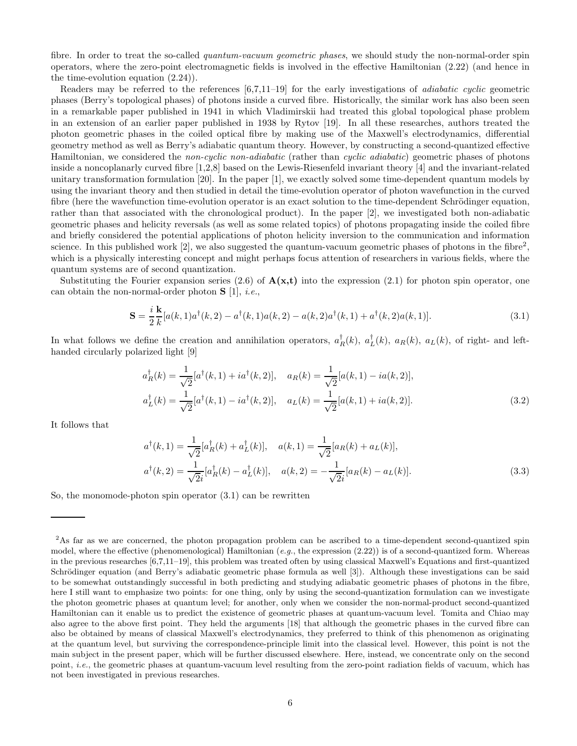fibre. In order to treat the so-called *quantum-vacuum geometric phases*, we should study the non-normal-order spin operators, where the zero-point electromagnetic fields is involved in the effective Hamiltonian (2.22) (and hence in the time-evolution equation (2.24)).

Readers may be referred to the references [6,7,11–19] for the early investigations of adiabatic cyclic geometric phases (Berry's topological phases) of photons inside a curved fibre. Historically, the similar work has also been seen in a remarkable paper published in 1941 in which Vladimirskii had treated this global topological phase problem in an extension of an earlier paper published in 1938 by Rytov [19]. In all these researches, authors treated the photon geometric phases in the coiled optical fibre by making use of the Maxwell's electrodynamics, differential geometry method as well as Berry's adiabatic quantum theory. However, by constructing a second-quantized effective Hamiltonian, we considered the non-cyclic non-adiabatic (rather than cyclic adiabatic) geometric phases of photons inside a noncoplanarly curved fibre [1,2,8] based on the Lewis-Riesenfeld invariant theory [4] and the invariant-related unitary transformation formulation [20]. In the paper [1], we exactly solved some time-dependent quantum models by using the invariant theory and then studied in detail the time-evolution operator of photon wavefunction in the curved fibre (here the wavefunction time-evolution operator is an exact solution to the time-dependent Schrödinger equation, rather than that associated with the chronological product). In the paper [2], we investigated both non-adiabatic geometric phases and helicity reversals (as well as some related topics) of photons propagating inside the coiled fibre and briefly considered the potential applications of photon helicity inversion to the communication and information science. In this published work [2], we also suggested the quantum-vacuum geometric phases of photons in the fibre<sup>2</sup>, which is a physically interesting concept and might perhaps focus attention of researchers in various fields, where the quantum systems are of second quantization.

Substituting the Fourier expansion series (2.6) of  $A(x,t)$  into the expression (2.1) for photon spin operator, one can obtain the non-normal-order photon  $S$  [1], *i.e.*,

$$
\mathbf{S} = \frac{i}{2} \frac{\mathbf{k}}{k} [a(k,1)a^{\dagger}(k,2) - a^{\dagger}(k,1)a(k,2) - a(k,2)a^{\dagger}(k,1) + a^{\dagger}(k,2)a(k,1)].
$$
\n(3.1)

In what follows we define the creation and annihilation operators,  $a_R^{\dagger}(k)$ ,  $a_L^{\dagger}(k)$ ,  $a_R(k)$ ,  $a_L(k)$ , of right- and lefthanded circularly polarized light [9]

$$
a_R^{\dagger}(k) = \frac{1}{\sqrt{2}} [a^{\dagger}(k,1) + i a^{\dagger}(k,2)], \quad a_R(k) = \frac{1}{\sqrt{2}} [a(k,1) - i a(k,2)],
$$
  

$$
a_L^{\dagger}(k) = \frac{1}{\sqrt{2}} [a^{\dagger}(k,1) - i a^{\dagger}(k,2)], \quad a_L(k) = \frac{1}{\sqrt{2}} [a(k,1) + i a(k,2)].
$$
 (3.2)

It follows that

$$
a^{\dagger}(k,1) = \frac{1}{\sqrt{2}} [a_R^{\dagger}(k) + a_L^{\dagger}(k)], \quad a(k,1) = \frac{1}{\sqrt{2}} [a_R(k) + a_L(k)],
$$
  

$$
a^{\dagger}(k,2) = \frac{1}{\sqrt{2}i} [a_R^{\dagger}(k) - a_L^{\dagger}(k)], \quad a(k,2) = -\frac{1}{\sqrt{2}i} [a_R(k) - a_L(k)].
$$
 (3.3)

So, the monomode-photon spin operator (3.1) can be rewritten

<sup>&</sup>lt;sup>2</sup>As far as we are concerned, the photon propagation problem can be ascribed to a time-dependent second-quantized spin model, where the effective (phenomenological) Hamiltonian (e.g., the expression  $(2.22)$ ) is of a second-quantized form. Whereas in the previous researches [6,7,11–19], this problem was treated often by using classical Maxwell's Equations and first-quantized Schrödinger equation (and Berry's adiabatic geometric phase formula as well [3]). Although these investigations can be said to be somewhat outstandingly successful in both predicting and studying adiabatic geometric phases of photons in the fibre, here I still want to emphasize two points: for one thing, only by using the second-quantization formulation can we investigate the photon geometric phases at quantum level; for another, only when we consider the non-normal-product second-quantized Hamiltonian can it enable us to predict the existence of geometric phases at quantum-vacuum level. Tomita and Chiao may also agree to the above first point. They held the arguments [18] that although the geometric phases in the curved fibre can also be obtained by means of classical Maxwell's electrodynamics, they preferred to think of this phenomenon as originating at the quantum level, but surviving the correspondence-principle limit into the classical level. However, this point is not the main subject in the present paper, which will be further discussed elsewhere. Here, instead, we concentrate only on the second point, i.e., the geometric phases at quantum-vacuum level resulting from the zero-point radiation fields of vacuum, which has not been investigated in previous researches.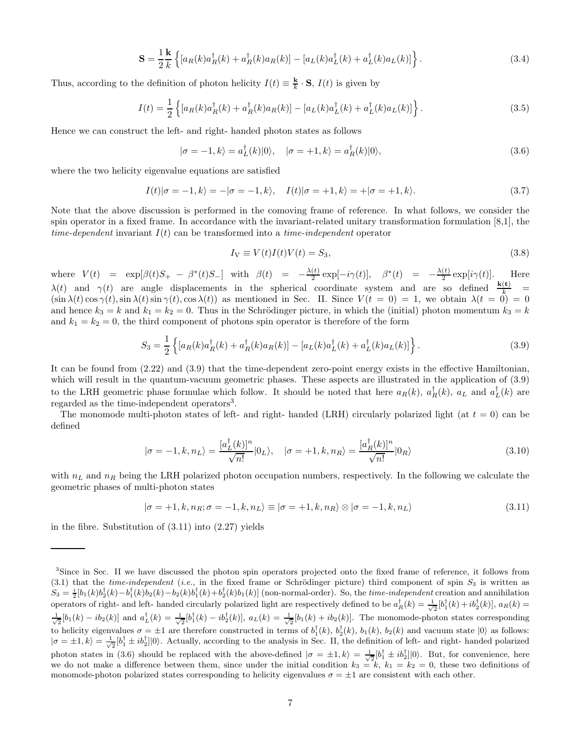$$
\mathbf{S} = \frac{1}{2} \frac{\mathbf{k}}{k} \left\{ \left[ a_R(k) a_R^{\dagger}(k) + a_R^{\dagger}(k) a_R(k) \right] - \left[ a_L(k) a_L^{\dagger}(k) + a_L^{\dagger}(k) a_L(k) \right] \right\}.
$$
 (3.4)

Thus, according to the definition of photon helicity  $I(t) \equiv \frac{\mathbf{k}}{k} \cdot \mathbf{S}$ ,  $I(t)$  is given by

$$
I(t) = \frac{1}{2} \left\{ [a_R(k)a_R^{\dagger}(k) + a_R^{\dagger}(k)a_R(k)] - [a_L(k)a_L^{\dagger}(k) + a_L^{\dagger}(k)a_L(k)] \right\}.
$$
 (3.5)

Hence we can construct the left- and right- handed photon states as follows

$$
|\sigma = -1, k\rangle = a_L^{\dagger}(k)|0\rangle, \quad |\sigma = +1, k\rangle = a_R^{\dagger}(k)|0\rangle,
$$
\n(3.6)

where the two helicity eigenvalue equations are satisfied

$$
I(t)|\sigma = -1, k\rangle = -|\sigma = -1, k\rangle, \quad I(t)|\sigma = +1, k\rangle = +|\sigma = +1, k\rangle.
$$
\n(3.7)

Note that the above discussion is performed in the comoving frame of reference. In what follows, we consider the spin operator in a fixed frame. In accordance with the invariant-related unitary transformation formulation [8,1], the time-dependent invariant  $I(t)$  can be transformed into a time-independent operator

$$
I_V \equiv V(t)I(t)V(t) = S_3,
$$
\n(3.8)

where  $V(t) = \exp[\beta(t)S_+ - \beta^*(t)S_-]$  with  $\beta(t) = -\frac{\lambda(t)}{2}$  $\frac{(t)}{2} \exp[-i\gamma(t)], \quad \beta^*(t) = -\frac{\lambda(t)}{2}$  $rac{v}{2}$  exp[i $\gamma(t)$ ]. Here  $\lambda(t)$  and  $\gamma(t)$  are angle displacements in the spherical coordinate system and are so defined  $\frac{k(t)}{k}$  =  $(\sin \lambda(t) \cos \gamma(t), \sin \lambda(t) \sin \gamma(t), \cos \lambda(t))$  as mentioned in Sec. II. Since  $V(t = 0) = 1$ , we obtain  $\lambda(t = 0) = 0$ and hence  $k_3 = k$  and  $k_1 = k_2 = 0$ . Thus in the Schrödinger picture, in which the (initial) photon momentum  $k_3 = k$ and  $k_1 = k_2 = 0$ , the third component of photons spin operator is therefore of the form

$$
S_3 = \frac{1}{2} \left\{ [a_R(k)a_R^{\dagger}(k) + a_R^{\dagger}(k)a_R(k)] - [a_L(k)a_L^{\dagger}(k) + a_L^{\dagger}(k)a_L(k)] \right\}.
$$
 (3.9)

It can be found from (2.22) and (3.9) that the time-dependent zero-point energy exists in the effective Hamiltonian, which will result in the quantum-vacuum geometric phases. These aspects are illustrated in the application of (3.9) to the LRH geometric phase formulae which follow. It should be noted that here  $a_R(k)$ ,  $a_R^{\dagger}(k)$ ,  $a_L$  and  $a_L^{\dagger}(k)$  are regarded as the time-independent operators<sup>3</sup>.

The monomode multi-photon states of left- and right- handed (LRH) circularly polarized light (at  $t = 0$ ) can be defined

$$
|\sigma = -1, k, n_L\rangle = \frac{[a_L^{\dagger}(k)]^n}{\sqrt{n!}} |0_L\rangle, \quad |\sigma = +1, k, n_R\rangle = \frac{[a_R^{\dagger}(k)]^n}{\sqrt{n!}} |0_R\rangle
$$
\n(3.10)

with  $n<sub>L</sub>$  and  $n<sub>R</sub>$  being the LRH polarized photon occupation numbers, respectively. In the following we calculate the geometric phases of multi-photon states

$$
|\sigma = +1, k, n_R; \sigma = -1, k, n_L\rangle \equiv |\sigma = +1, k, n_R\rangle \otimes |\sigma = -1, k, n_L\rangle \tag{3.11}
$$

in the fibre. Substitution of  $(3.11)$  into  $(2.27)$  yields

<sup>3</sup> Since in Sec. II we have discussed the photon spin operators projected onto the fixed frame of reference, it follows from (3.1) that the time-independent (i.e., in the fixed frame or Schrödinger picture) third component of spin  $S_3$  is written as  $S_3 = \frac{i}{2} [b_1(k)b_2^{\dagger}(k) - b_1^{\dagger}(k)b_2(k) - b_2(k)b_1^{\dagger}(k) + b_2^{\dagger}(k)b_1(k)]$  (non-normal-order). So, the *time-independent* creation and annihilation operators of right- and left- handed circularly polarized light are respectively defined to be  $a_R^{\dagger}(k) = \frac{1}{\sqrt{2}}[b_1^{\dagger}(k) + ib_2^{\dagger}(k)]$ ,  $a_R(k) =$  $\frac{1}{\sqrt{2}}[b_1(k) - ib_2(k)]$  and  $a_L^{\dagger}(k) = \frac{1}{\sqrt{2}}[b_1^{\dagger}(k) - ib_2^{\dagger}(k)]$ ,  $a_L(k) = \frac{1}{\sqrt{2}}[b_1(k) + ib_2(k)]$ . The monomode-photon states corresponding to helicity eigenvalues  $\sigma = \pm 1$  are therefore constructed in terms of  $b_1^{\dagger}(k)$ ,  $b_2^{\dagger}(k)$ ,  $b_1(k)$ ,  $b_2(k)$  and vacuum state  $|0\rangle$  as follows:  $|\sigma = \pm 1, k\rangle = \frac{1}{\sqrt{2}} [b_1^{\dagger} \pm i b_2^{\dagger}] |0\rangle$ . Actually, according to the analysis in Sec. II, the definition of left- and right- handed polarized photon states in (3.6) should be replaced with the above-defined  $|\sigma = \pm 1, k\rangle = \frac{1}{\sqrt{2}} [b_1^{\dagger} \pm ib_2^{\dagger}] |0\rangle$ . But, for convenience, here we do not make a difference between them, since under the initial condition  $k_3 = k$ ,  $k_1 = k_2 = 0$ , these two definitions of monomode-photon polarized states corresponding to helicity eigenvalues  $\sigma = \pm 1$  are consistent with each other.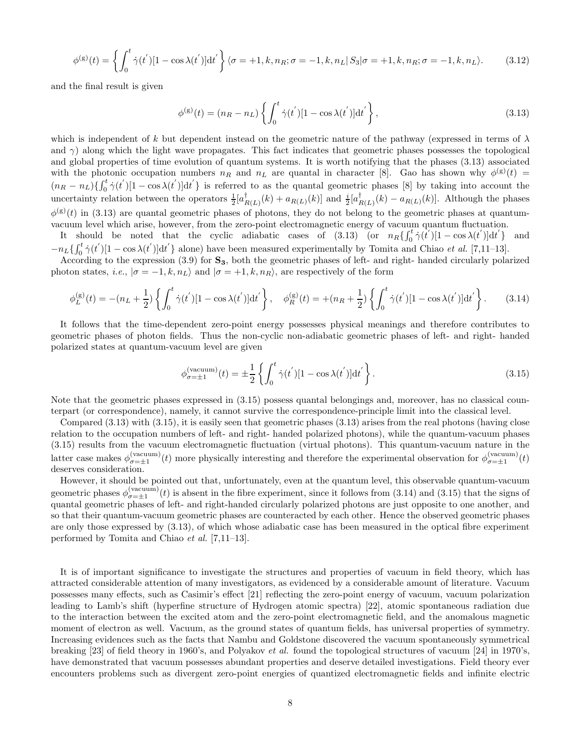$$
\phi^{(g)}(t) = \left\{ \int_0^t \dot{\gamma}(t') \left[1 - \cos \lambda(t')\right] dt' \right\} \langle \sigma = +1, k, n_R; \sigma = -1, k, n_L | S_3 | \sigma = +1, k, n_R; \sigma = -1, k, n_L \rangle. \tag{3.12}
$$

and the final result is given

$$
\phi^{(g)}(t) = (n_R - n_L) \left\{ \int_0^t \dot{\gamma}(t') [1 - \cos \lambda(t')] dt' \right\},\tag{3.13}
$$

which is independent of k but dependent instead on the geometric nature of the pathway (expressed in terms of  $\lambda$ and  $\gamma$ ) along which the light wave propagates. This fact indicates that geometric phases possesses the topological and global properties of time evolution of quantum systems. It is worth notifying that the phases (3.13) associated with the photonic occupation numbers  $n_R$  and  $n_L$  are quantal in character [8]. Gao has shown why  $\phi^{(g)}(t)$  =  $(n_R - n_L)\left\{\int_0^t \dot{\gamma}(t') [1 - \cos \lambda(t')] dt'\right\}$  is referred to as the quantal geometric phases [8] by taking into account the uncertainty relation between the operators  $\frac{1}{2} [a_{R(L)}^{\dagger}(k) + a_{R(L)}(k)]$  and  $\frac{i}{2} [a_{R(L)}^{\dagger}(k) - a_{R(L)}(k)]$ . Although the phases  $\phi^{(g)}(t)$  in (3.13) are quantal geometric phases of photons, they do not belong to the geometric phases at quantumvacuum level which arise, however, from the zero-point electromagnetic energy of vacuum quantum fluctuation.

It should be noted that the cyclic adiabatic cases of  $(3.13)$  (or  $n_R\left\{\int_0^t \dot{\gamma}(t')\left[1-\cos\lambda(t')\right]dt'\right\}$  and  $-n_L\{\int_0^t \dot{\gamma}(t)\left[1-\cos \lambda(t')\right]dt'\}$  alone) have been measured experimentally by Tomita and Chiao et al. [7,11–13].

According to the expression  $(3.9)$  for  $\mathbf{S}_3$ , both the geometric phases of left- and right- handed circularly polarized photon states, i.e.,  $|\sigma = -1, k, n_L\rangle$  and  $|\sigma = +1, k, n_R\rangle$ , are respectively of the form

$$
\phi_L^{(g)}(t) = -(n_L + \frac{1}{2}) \left\{ \int_0^t \dot{\gamma}(t') [1 - \cos \lambda(t')] dt' \right\}, \quad \phi_R^{(g)}(t) = +(n_R + \frac{1}{2}) \left\{ \int_0^t \dot{\gamma}(t') [1 - \cos \lambda(t')] dt' \right\}. \tag{3.14}
$$

It follows that the time-dependent zero-point energy possesses physical meanings and therefore contributes to geometric phases of photon fields. Thus the non-cyclic non-adiabatic geometric phases of left- and right- handed polarized states at quantum-vacuum level are given

$$
\phi_{\sigma=\pm 1}^{(\text{vacuum})}(t) = \pm \frac{1}{2} \left\{ \int_0^t \dot{\gamma}(t') [1 - \cos \lambda(t')] dt' \right\}.
$$
\n(3.15)

Note that the geometric phases expressed in (3.15) possess quantal belongings and, moreover, has no classical counterpart (or correspondence), namely, it cannot survive the correspondence-principle limit into the classical level.

Compared (3.13) with (3.15), it is easily seen that geometric phases (3.13) arises from the real photons (having close relation to the occupation numbers of left- and right- handed polarized photons), while the quantum-vacuum phases (3.15) results from the vacuum electromagnetic fluctuation (virtual photons). This quantum-vacuum nature in the latter case makes  $\phi_{\sigma=\pm 1}^{(\text{vacuum})}(t)$  more physically interesting and therefore the experimental observation for  $\phi_{\sigma=\pm 1}^{(\text{vacuum})}(t)$ deserves consideration.

However, it should be pointed out that, unfortunately, even at the quantum level, this observable quantum-vacuum geometric phases  $\phi_{\sigma=\pm 1}^{(\text{vacuum})}(t)$  is absent in the fibre experiment, since it follows from (3.14) and (3.15) that the signs of quantal geometric phases of left- and right-handed circularly polarized photons are just opposite to one another, and so that their quantum-vacuum geometric phases are counteracted by each other. Hence the observed geometric phases are only those expressed by (3.13), of which whose adiabatic case has been measured in the optical fibre experiment performed by Tomita and Chiao et al. [7,11–13].

It is of important significance to investigate the structures and properties of vacuum in field theory, which has attracted considerable attention of many investigators, as evidenced by a considerable amount of literature. Vacuum possesses many effects, such as Casimir's effect [21] reflecting the zero-point energy of vacuum, vacuum polarization leading to Lamb's shift (hyperfine structure of Hydrogen atomic spectra) [22], atomic spontaneous radiation due to the interaction between the excited atom and the zero-point electromagnetic field, and the anomalous magnetic moment of electron as well. Vacuum, as the ground states of quantum fields, has universal properties of symmetry. Increasing evidences such as the facts that Nambu and Goldstone discovered the vacuum spontaneously symmetrical breaking [23] of field theory in 1960's, and Polyakov et al. found the topological structures of vacuum [24] in 1970's, have demonstrated that vacuum possesses abundant properties and deserve detailed investigations. Field theory ever encounters problems such as divergent zero-point energies of quantized electromagnetic fields and infinite electric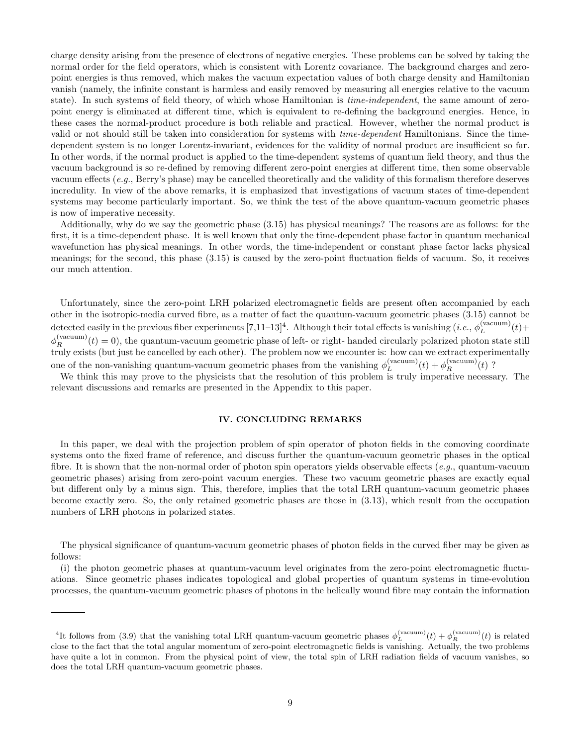charge density arising from the presence of electrons of negative energies. These problems can be solved by taking the normal order for the field operators, which is consistent with Lorentz covariance. The background charges and zeropoint energies is thus removed, which makes the vacuum expectation values of both charge density and Hamiltonian vanish (namely, the infinite constant is harmless and easily removed by measuring all energies relative to the vacuum state). In such systems of field theory, of which whose Hamiltonian is *time-independent*, the same amount of zeropoint energy is eliminated at different time, which is equivalent to re-defining the background energies. Hence, in these cases the normal-product procedure is both reliable and practical. However, whether the normal product is valid or not should still be taken into consideration for systems with time-dependent Hamiltonians. Since the timedependent system is no longer Lorentz-invariant, evidences for the validity of normal product are insufficient so far. In other words, if the normal product is applied to the time-dependent systems of quantum field theory, and thus the vacuum background is so re-defined by removing different zero-point energies at different time, then some observable vacuum effects (e.g., Berry's phase) may be cancelled theoretically and the validity of this formalism therefore deserves incredulity. In view of the above remarks, it is emphasized that investigations of vacuum states of time-dependent systems may become particularly important. So, we think the test of the above quantum-vacuum geometric phases is now of imperative necessity.

Additionally, why do we say the geometric phase (3.15) has physical meanings? The reasons are as follows: for the first, it is a time-dependent phase. It is well known that only the time-dependent phase factor in quantum mechanical wavefunction has physical meanings. In other words, the time-independent or constant phase factor lacks physical meanings; for the second, this phase (3.15) is caused by the zero-point fluctuation fields of vacuum. So, it receives our much attention.

Unfortunately, since the zero-point LRH polarized electromagnetic fields are present often accompanied by each other in the isotropic-media curved fibre, as a matter of fact the quantum-vacuum geometric phases (3.15) cannot be detected easily in the previous fiber experiments  $[7,11-13]^4$ . Although their total effects is vanishing  $(i.e., \phi_L^{(vacuum)}(t) +$  $\phi_R^{(vacuum)}(t) = 0$ , the quantum-vacuum geometric phase of left- or right- handed circularly polarized photon state still truly exists (but just be cancelled by each other). The problem now we encounter is: how can we extract experimentally one of the non-vanishing quantum-vacuum geometric phases from the vanishing  $\phi_L^{(\text{vacuum})}(t) + \phi_R^{(\text{vacuum})}(t)$ ?

We think this may prove to the physicists that the resolution of this problem is truly imperative necessary. The relevant discussions and remarks are presented in the Appendix to this paper.

### IV. CONCLUDING REMARKS

In this paper, we deal with the projection problem of spin operator of photon fields in the comoving coordinate systems onto the fixed frame of reference, and discuss further the quantum-vacuum geometric phases in the optical fibre. It is shown that the non-normal order of photon spin operators yields observable effects (e.g., quantum-vacuum geometric phases) arising from zero-point vacuum energies. These two vacuum geometric phases are exactly equal but different only by a minus sign. This, therefore, implies that the total LRH quantum-vacuum geometric phases become exactly zero. So, the only retained geometric phases are those in (3.13), which result from the occupation numbers of LRH photons in polarized states.

The physical significance of quantum-vacuum geometric phases of photon fields in the curved fiber may be given as follows:

(i) the photon geometric phases at quantum-vacuum level originates from the zero-point electromagnetic fluctuations. Since geometric phases indicates topological and global properties of quantum systems in time-evolution processes, the quantum-vacuum geometric phases of photons in the helically wound fibre may contain the information

<sup>&</sup>lt;sup>4</sup>It follows from (3.9) that the vanishing total LRH quantum-vacuum geometric phases  $\phi_L^{(vacuum)}(t) + \phi_R^{(vacuum)}(t)$  is related close to the fact that the total angular momentum of zero-point electromagnetic fields is vanishing. Actually, the two problems have quite a lot in common. From the physical point of view, the total spin of LRH radiation fields of vacuum vanishes, so does the total LRH quantum-vacuum geometric phases.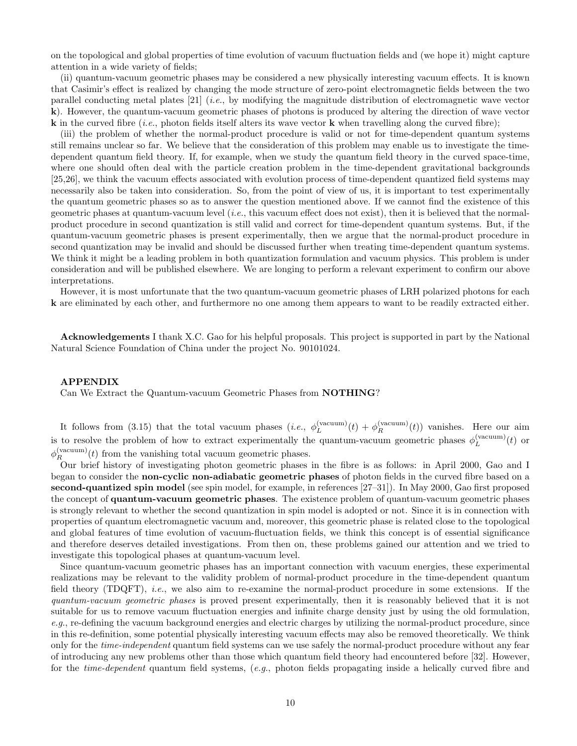on the topological and global properties of time evolution of vacuum fluctuation fields and (we hope it) might capture attention in a wide variety of fields;

(ii) quantum-vacuum geometric phases may be considered a new physically interesting vacuum effects. It is known that Casimir's effect is realized by changing the mode structure of zero-point electromagnetic fields between the two parallel conducting metal plates [21] (i.e., by modifying the magnitude distribution of electromagnetic wave vector k). However, the quantum-vacuum geometric phases of photons is produced by altering the direction of wave vector **k** in the curved fibre (*i.e.*, photon fields itself alters its wave vector **k** when travelling along the curved fibre);

(iii) the problem of whether the normal-product procedure is valid or not for time-dependent quantum systems still remains unclear so far. We believe that the consideration of this problem may enable us to investigate the timedependent quantum field theory. If, for example, when we study the quantum field theory in the curved space-time, where one should often deal with the particle creation problem in the time-dependent gravitational backgrounds [25,26], we think the vacuum effects associated with evolution process of time-dependent quantized field systems may necessarily also be taken into consideration. So, from the point of view of us, it is important to test experimentally the quantum geometric phases so as to answer the question mentioned above. If we cannot find the existence of this geometric phases at quantum-vacuum level  $(i.e.,$  this vacuum effect does not exist), then it is believed that the normalproduct procedure in second quantization is still valid and correct for time-dependent quantum systems. But, if the quantum-vacuum geometric phases is present experimentally, then we argue that the normal-product procedure in second quantization may be invalid and should be discussed further when treating time-dependent quantum systems. We think it might be a leading problem in both quantization formulation and vacuum physics. This problem is under consideration and will be published elsewhere. We are longing to perform a relevant experiment to confirm our above interpretations.

However, it is most unfortunate that the two quantum-vacuum geometric phases of LRH polarized photons for each k are eliminated by each other, and furthermore no one among them appears to want to be readily extracted either.

Acknowledgements I thank X.C. Gao for his helpful proposals. This project is supported in part by the National Natural Science Foundation of China under the project No. 90101024.

### APPENDIX

Can We Extract the Quantum-vacuum Geometric Phases from NOTHING?

It follows from (3.15) that the total vacuum phases  $(i.e., \phi_L^{(vacuum)}(t) + \phi_R^{(vacuum)}(t))$  vanishes. Here our aim is to resolve the problem of how to extract experimentally the quantum-vacuum geometric phases  $\phi_L^{(vacuum)}(t)$  or  $\phi_R^{(\text{vacuum})}(t)$  from the vanishing total vacuum geometric phases.

Our brief history of investigating photon geometric phases in the fibre is as follows: in April 2000, Gao and I began to consider the non-cyclic non-adiabatic geometric phases of photon fields in the curved fibre based on a second-quantized spin model (see spin model, for example, in references [27–31]). In May 2000, Gao first proposed the concept of quantum-vacuum geometric phases. The existence problem of quantum-vacuum geometric phases is strongly relevant to whether the second quantization in spin model is adopted or not. Since it is in connection with properties of quantum electromagnetic vacuum and, moreover, this geometric phase is related close to the topological and global features of time evolution of vacuum-fluctuation fields, we think this concept is of essential significance and therefore deserves detailed investigations. From then on, these problems gained our attention and we tried to investigate this topological phases at quantum-vacuum level.

Since quantum-vacuum geometric phases has an important connection with vacuum energies, these experimental realizations may be relevant to the validity problem of normal-product procedure in the time-dependent quantum field theory (TDQFT), *i.e.*, we also aim to re-examine the normal-product procedure in some extensions. If the quantum-vacuum geometric phases is proved present experimentally, then it is reasonably believed that it is not suitable for us to remove vacuum fluctuation energies and infinite charge density just by using the old formulation, e.g., re-defining the vacuum background energies and electric charges by utilizing the normal-product procedure, since in this re-definition, some potential physically interesting vacuum effects may also be removed theoretically. We think only for the *time-independent* quantum field systems can we use safely the normal-product procedure without any fear of introducing any new problems other than those which quantum field theory had encountered before [32]. However, for the time-dependent quantum field systems, (e.g., photon fields propagating inside a helically curved fibre and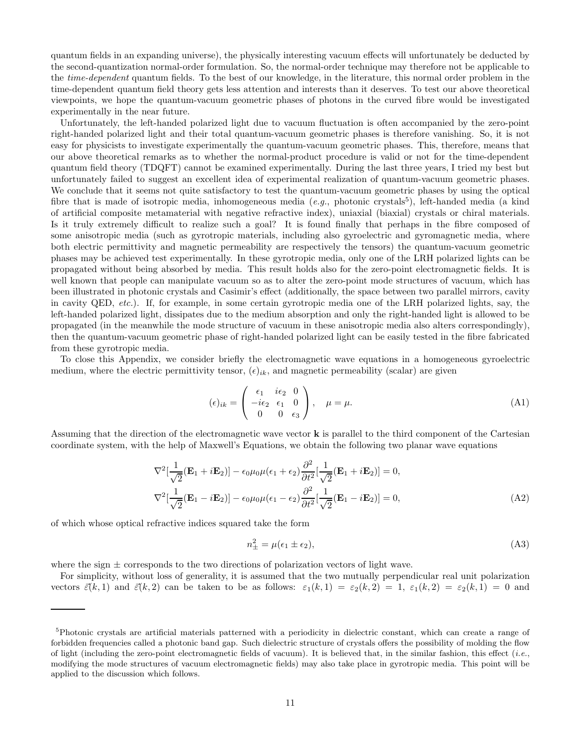quantum fields in an expanding universe), the physically interesting vacuum effects will unfortunately be deducted by the second-quantization normal-order formulation. So, the normal-order technique may therefore not be applicable to the time-dependent quantum fields. To the best of our knowledge, in the literature, this normal order problem in the time-dependent quantum field theory gets less attention and interests than it deserves. To test our above theoretical viewpoints, we hope the quantum-vacuum geometric phases of photons in the curved fibre would be investigated experimentally in the near future.

Unfortunately, the left-handed polarized light due to vacuum fluctuation is often accompanied by the zero-point right-handed polarized light and their total quantum-vacuum geometric phases is therefore vanishing. So, it is not easy for physicists to investigate experimentally the quantum-vacuum geometric phases. This, therefore, means that our above theoretical remarks as to whether the normal-product procedure is valid or not for the time-dependent quantum field theory (TDQFT) cannot be examined experimentally. During the last three years, I tried my best but unfortunately failed to suggest an excellent idea of experimental realization of quantum-vacuum geometric phases. We conclude that it seems not quite satisfactory to test the quantum-vacuum geometric phases by using the optical fibre that is made of isotropic media, inhomogeneous media  $(e.g.,\text{ photonic crystals}^5)$ , left-handed media (a kind of artificial composite metamaterial with negative refractive index), uniaxial (biaxial) crystals or chiral materials. Is it truly extremely difficult to realize such a goal? It is found finally that perhaps in the fibre composed of some anisotropic media (such as gyrotropic materials, including also gyroelectric and gyromagnetic media, where both electric permittivity and magnetic permeability are respectively the tensors) the quantum-vacuum geometric phases may be achieved test experimentally. In these gyrotropic media, only one of the LRH polarized lights can be propagated without being absorbed by media. This result holds also for the zero-point electromagnetic fields. It is well known that people can manipulate vacuum so as to alter the zero-point mode structures of vacuum, which has been illustrated in photonic crystals and Casimir's effect (additionally, the space between two parallel mirrors, cavity in cavity QED, etc.). If, for example, in some certain gyrotropic media one of the LRH polarized lights, say, the left-handed polarized light, dissipates due to the medium absorption and only the right-handed light is allowed to be propagated (in the meanwhile the mode structure of vacuum in these anisotropic media also alters correspondingly), then the quantum-vacuum geometric phase of right-handed polarized light can be easily tested in the fibre fabricated from these gyrotropic media.

To close this Appendix, we consider briefly the electromagnetic wave equations in a homogeneous gyroelectric medium, where the electric permittivity tensor,  $(\epsilon)_{ik}$ , and magnetic permeability (scalar) are given

$$
(\epsilon)_{ik} = \begin{pmatrix} \epsilon_1 & i\epsilon_2 & 0 \\ -i\epsilon_2 & \epsilon_1 & 0 \\ 0 & 0 & \epsilon_3 \end{pmatrix}, \quad \mu = \mu.
$$
 (A1)

Assuming that the direction of the electromagnetic wave vector k is parallel to the third component of the Cartesian coordinate system, with the help of Maxwell's Equations, we obtain the following two planar wave equations

$$
\nabla^2 \left[ \frac{1}{\sqrt{2}} (\mathbf{E}_1 + i\mathbf{E}_2) \right] - \epsilon_0 \mu_0 \mu (\epsilon_1 + \epsilon_2) \frac{\partial^2}{\partial t^2} \left[ \frac{1}{\sqrt{2}} (\mathbf{E}_1 + i\mathbf{E}_2) \right] = 0,
$$
  

$$
\nabla^2 \left[ \frac{1}{\sqrt{2}} (\mathbf{E}_1 - i\mathbf{E}_2) \right] - \epsilon_0 \mu_0 \mu (\epsilon_1 - \epsilon_2) \frac{\partial^2}{\partial t^2} \left[ \frac{1}{\sqrt{2}} (\mathbf{E}_1 - i\mathbf{E}_2) \right] = 0,
$$
 (A2)

of which whose optical refractive indices squared take the form

$$
n_{\pm}^2 = \mu(\epsilon_1 \pm \epsilon_2),\tag{A3}
$$

where the sign  $\pm$  corresponds to the two directions of polarization vectors of light wave.

For simplicity, without loss of generality, it is assumed that the two mutually perpendicular real unit polarization vectors  $\vec{\varepsilon}(k,1)$  and  $\vec{\varepsilon}(k,2)$  can be taken to be as follows:  $\varepsilon_1(k,1) = \varepsilon_2(k,2) = 1$ ,  $\varepsilon_1(k,2) = \varepsilon_2(k,1) = 0$  and

<sup>&</sup>lt;sup>5</sup>Photonic crystals are artificial materials patterned with a periodicity in dielectric constant, which can create a range of forbidden frequencies called a photonic band gap. Such dielectric structure of crystals offers the possibility of molding the flow of light (including the zero-point electromagnetic fields of vacuum). It is believed that, in the similar fashion, this effect  $(i.e.,$ modifying the mode structures of vacuum electromagnetic fields) may also take place in gyrotropic media. This point will be applied to the discussion which follows.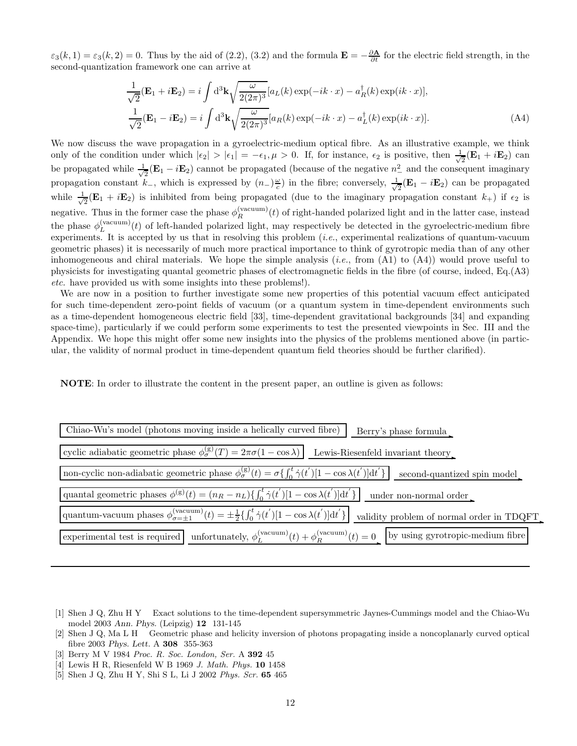$\varepsilon_3(k,1) = \varepsilon_3(k,2) = 0$ . Thus by the aid of (2.2), (3.2) and the formula  $\mathbf{E} = -\frac{\partial \mathbf{A}}{\partial t}$  for the electric field strength, in the second-quantization framework one can arrive at

$$
\frac{1}{\sqrt{2}}(\mathbf{E}_1 + i\mathbf{E}_2) = i \int d^3 \mathbf{k} \sqrt{\frac{\omega}{2(2\pi)^3}} [a_L(k) \exp(-ik \cdot x) - a_R^{\dagger}(k) \exp(ik \cdot x)],
$$
  

$$
\frac{1}{\sqrt{2}}(\mathbf{E}_1 - i\mathbf{E}_2) = i \int d^3 \mathbf{k} \sqrt{\frac{\omega}{2(2\pi)^3}} [a_R(k) \exp(-ik \cdot x) - a_L^{\dagger}(k) \exp(ik \cdot x)].
$$
 (A4)

We now discuss the wave propagation in a gyroelectric-medium optical fibre. As an illustrative example, we think only of the condition under which  $|\epsilon_2| > |\epsilon_1| = -\epsilon_1, \mu > 0$ . If, for instance,  $\epsilon_2$  is positive, then  $\frac{1}{\sqrt{2}}$  $\frac{1}{2}(\mathbf{E}_1 + i\mathbf{E}_2)$  can be propagated while  $\frac{1}{\sqrt{2}}$  $\frac{1}{2}$ (**E**<sub>1</sub> − *i***E**<sub>2</sub>) cannot be propagated (because of the negative  $n^2$ ) and the consequent imaginary propagation constant  $k_$ , which is expressed by  $(n_-)\frac{\omega}{c}$  in the fibre; conversely,  $\frac{1}{\sqrt{}}$  $\frac{1}{2}(\mathbf{E}_1 - i\mathbf{E}_2)$  can be propagated while  $\frac{1}{\sqrt{2}}$  $\frac{1}{2}(\mathbf{E}_1 + i\mathbf{E}_2)$  is inhibited from being propagated (due to the imaginary propagation constant  $k_+$ ) if  $\epsilon_2$  is negative. Thus in the former case the phase  $\phi_R^{(vacuum)}(t)$  of right-handed polarized light and in the latter case, instead the phase  $\phi_L^{(\text{vacuum})}(t)$  of left-handed polarized light, may respectively be detected in the gyroelectric-medium fibre experiments. It is accepted by us that in resolving this problem  $(i.e.,$  experimental realizations of quantum-vacuum geometric phases) it is necessarily of much more practical importance to think of gyrotropic media than of any other inhomogeneous and chiral materials. We hope the simple analysis  $(i.e., from (A1) to (A4))$  would prove useful to physicists for investigating quantal geometric phases of electromagnetic fields in the fibre (of course, indeed, Eq.(A3) etc. have provided us with some insights into these problems!).

We are now in a position to further investigate some new properties of this potential vacuum effect anticipated for such time-dependent zero-point fields of vacuum (or a quantum system in time-dependent environments such as a time-dependent homogeneous electric field [33], time-dependent gravitational backgrounds [34] and expanding space-time), particularly if we could perform some experiments to test the presented viewpoints in Sec. III and the Appendix. We hope this might offer some new insights into the physics of the problems mentioned above (in particular, the validity of normal product in time-dependent quantum field theories should be further clarified).

NOTE: In order to illustrate the content in the present paper, an outline is given as follows:

| Chiao-Wu's model (photons moving inside a helically curved fibre)<br>Berry's phase formula                                                                                                            |
|-------------------------------------------------------------------------------------------------------------------------------------------------------------------------------------------------------|
| cyclic adiabatic geometric phase $\phi_{\sigma}^{(g)}(T) = 2\pi\sigma(1-\cos\lambda)$ Lewis-Riesenfeld invariant theory                                                                               |
| non-cyclic non-adiabatic geometric phase $\phi_{\sigma}^{(g)}(t) = \sigma\left\{\int_0^t \dot{\gamma}(t') [1 - \cos \lambda(t')] dt' \right\}$ second-quantized spin model                            |
| quantal geometric phases $\phi^{(g)}(t) = (n_R - n_L) \left\{ \int_0^t \dot{\gamma}(t') [1 - \cos \lambda(t')] dt' \right\}$<br>under non-normal order                                                |
| quantum-vacuum phases $\phi_{\sigma=\pm 1}^{(\text{vacuum})}(t) = \pm \frac{1}{2} \left\{ \int_0^t \dot{\gamma}(t') [1 - \cos \lambda(t')] dt' \right\}$<br>validity problem of normal order in TDQFT |
| experimental test is required unfortunately, $\phi_L^{(vacuum)}(t) + \phi_R^{(vacuum)}(t) = 0$ by using gyrotropic-medium fibre                                                                       |

- [1] Shen J Q, Zhu H Y Exact solutions to the time-dependent supersymmetric Jaynes-Cummings model and the Chiao-Wu model 2003 Ann. Phys. (Leipzig) 12 131-145
- [2] Shen J Q, Ma L H Geometric phase and helicity inversion of photons propagating inside a noncoplanarly curved optical fibre 2003 Phys. Lett. A 308 355-363
- [3] Berry M V 1984 Proc. R. Soc. London, Ser. A 392 45
- [4] Lewis H R, Riesenfeld W B 1969 J. Math. Phys. 10 1458
- [5] Shen J Q, Zhu H Y, Shi S L, Li J 2002 Phys. Scr. 65 465